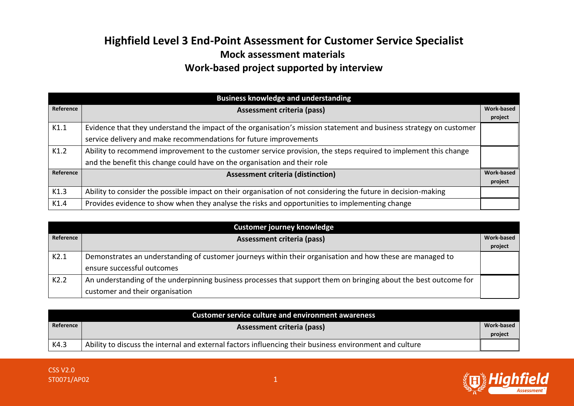## **Highfield Level 3 End-Point Assessment for Customer Service Specialist Mock assessment materials Work-based project supported by interview**

|           | <b>Business knowledge and understanding</b>                                                                                                                                                  |                              |
|-----------|----------------------------------------------------------------------------------------------------------------------------------------------------------------------------------------------|------------------------------|
| Reference | <b>Assessment criteria (pass)</b>                                                                                                                                                            | Work-based<br>project        |
| K1.1      | Evidence that they understand the impact of the organisation's mission statement and business strategy on customer<br>service delivery and make recommendations for future improvements      |                              |
| K1.2      | Ability to recommend improvement to the customer service provision, the steps required to implement this change<br>and the benefit this change could have on the organisation and their role |                              |
| Reference | <b>Assessment criteria (distinction)</b>                                                                                                                                                     | <b>Work-based</b><br>project |
| K1.3      | Ability to consider the possible impact on their organisation of not considering the future in decision-making                                                                               |                              |
| K1.4      | Provides evidence to show when they analyse the risks and opportunities to implementing change                                                                                               |                              |

| Customer journey knowledge |                                                                                                                  |                   |
|----------------------------|------------------------------------------------------------------------------------------------------------------|-------------------|
| Reference                  | <b>Assessment criteria (pass)</b>                                                                                | <b>Work-based</b> |
|                            |                                                                                                                  | project           |
| K2.1                       | Demonstrates an understanding of customer journeys within their organisation and how these are managed to        |                   |
|                            | ensure successful outcomes                                                                                       |                   |
| K2.2                       | An understanding of the underpinning business processes that support them on bringing about the best outcome for |                   |
|                            | customer and their organisation                                                                                  |                   |

|           | <b>Customer service culture and environment awareness</b>                                               |            |
|-----------|---------------------------------------------------------------------------------------------------------|------------|
| Reference | <b>Assessment criteria (pass)</b>                                                                       | Work-based |
|           |                                                                                                         | project    |
| K4.3      | Ability to discuss the internal and external factors influencing their business environment and culture |            |

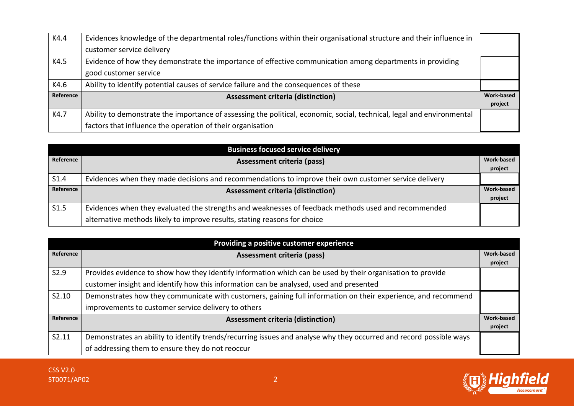| K4.4      | Evidences knowledge of the departmental roles/functions within their organisational structure and their influence in   |            |
|-----------|------------------------------------------------------------------------------------------------------------------------|------------|
|           | customer service delivery                                                                                              |            |
| K4.5      | Evidence of how they demonstrate the importance of effective communication among departments in providing              |            |
|           | good customer service                                                                                                  |            |
| K4.6      | Ability to identify potential causes of service failure and the consequences of these                                  |            |
| Reference | <b>Assessment criteria (distinction)</b>                                                                               | Work-based |
|           |                                                                                                                        | project    |
| K4.7      | Ability to demonstrate the importance of assessing the political, economic, social, technical, legal and environmental |            |
|           | factors that influence the operation of their organisation                                                             |            |

| <b>Business focused service delivery</b> |                                                                                                       |                   |
|------------------------------------------|-------------------------------------------------------------------------------------------------------|-------------------|
| Reference                                | <b>Assessment criteria (pass)</b>                                                                     | <b>Work-based</b> |
|                                          |                                                                                                       | project           |
| S <sub>1.4</sub>                         | Evidences when they made decisions and recommendations to improve their own customer service delivery |                   |
| Reference                                | <b>Assessment criteria (distinction)</b>                                                              | Work-based        |
|                                          |                                                                                                       | project           |
| S1.5                                     | Evidences when they evaluated the strengths and weaknesses of feedback methods used and recommended   |                   |
|                                          | alternative methods likely to improve results, stating reasons for choice                             |                   |

|           | Providing a positive customer experience                                                                           |            |
|-----------|--------------------------------------------------------------------------------------------------------------------|------------|
| Reference | Assessment criteria (pass)                                                                                         | Work-based |
|           |                                                                                                                    | project    |
| S2.9      | Provides evidence to show how they identify information which can be used by their organisation to provide         |            |
|           | customer insight and identify how this information can be analysed, used and presented                             |            |
| S2.10     | Demonstrates how they communicate with customers, gaining full information on their experience, and recommend      |            |
|           | improvements to customer service delivery to others                                                                |            |
| Reference | <b>Assessment criteria (distinction)</b>                                                                           | Work-based |
|           |                                                                                                                    | project    |
| S2.11     | Demonstrates an ability to identify trends/recurring issues and analyse why they occurred and record possible ways |            |
|           | of addressing them to ensure they do not reoccur                                                                   |            |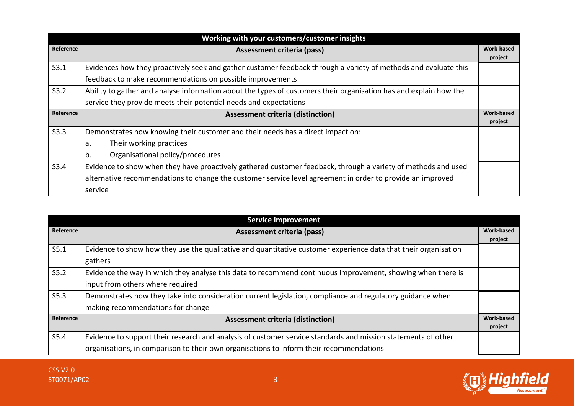| Working with your customers/customer insights |                                                                                                                   |                   |
|-----------------------------------------------|-------------------------------------------------------------------------------------------------------------------|-------------------|
| Reference                                     | Assessment criteria (pass)                                                                                        | <b>Work-based</b> |
|                                               |                                                                                                                   | project           |
| S3.1                                          | Evidences how they proactively seek and gather customer feedback through a variety of methods and evaluate this   |                   |
|                                               | feedback to make recommendations on possible improvements                                                         |                   |
| S3.2                                          | Ability to gather and analyse information about the types of customers their organisation has and explain how the |                   |
|                                               | service they provide meets their potential needs and expectations                                                 |                   |
| Reference                                     | <b>Assessment criteria (distinction)</b>                                                                          | Work-based        |
|                                               |                                                                                                                   | project           |
| S3.3                                          | Demonstrates how knowing their customer and their needs has a direct impact on:                                   |                   |
|                                               | Their working practices<br>a.                                                                                     |                   |
|                                               | Organisational policy/procedures<br>b.                                                                            |                   |
| S3.4                                          | Evidence to show when they have proactively gathered customer feedback, through a variety of methods and used     |                   |
|                                               | alternative recommendations to change the customer service level agreement in order to provide an improved        |                   |
|                                               | service                                                                                                           |                   |

|           | <b>Service improvement</b>                                                                                      |                   |
|-----------|-----------------------------------------------------------------------------------------------------------------|-------------------|
| Reference | Assessment criteria (pass)                                                                                      | <b>Work-based</b> |
|           |                                                                                                                 | project           |
| S5.1      | Evidence to show how they use the qualitative and quantitative customer experience data that their organisation |                   |
|           | gathers                                                                                                         |                   |
| S5.2      | Evidence the way in which they analyse this data to recommend continuous improvement, showing when there is     |                   |
|           | input from others where required                                                                                |                   |
| S5.3      | Demonstrates how they take into consideration current legislation, compliance and regulatory guidance when      |                   |
|           | making recommendations for change                                                                               |                   |
| Reference | <b>Assessment criteria (distinction)</b>                                                                        | <b>Work-based</b> |
|           |                                                                                                                 | project           |
| S5.4      | Evidence to support their research and analysis of customer service standards and mission statements of other   |                   |
|           | organisations, in comparison to their own organisations to inform their recommendations                         |                   |